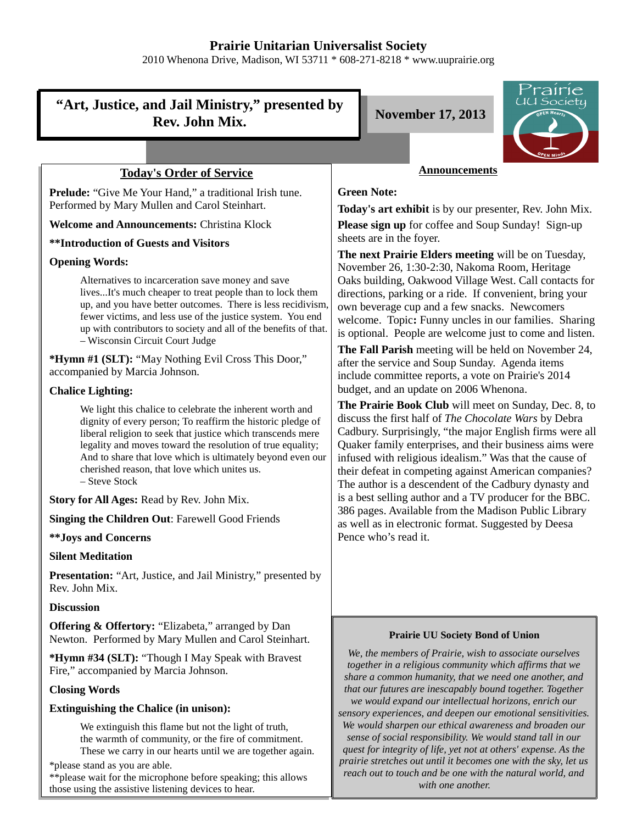## **Prairie Unitarian Universalist Society**

2010 Whenona Drive, Madison, WI 53711 \* 608-271-8218 \* www.uuprairie.org

# **"Art, Justice, and Jail Ministry," presented by Rev. John Mix. November 17, 2013**



## **Today's Order of Service**

**Prelude:** "Give Me Your Hand," a traditional Irish tune. Performed by Mary Mullen and Carol Steinhart.

**Welcome and Announcements:** Christina Klock

**\*\*Introduction of Guests and Visitors**

#### **Opening Words:**

Alternatives to incarceration save money and save lives...It's much cheaper to treat people than to lock them up, and you have better outcomes. There is less recidivism, fewer victims, and less use of the justice system. You end up with contributors to society and all of the benefits of that. – Wisconsin Circuit Court Judge

**\*Hymn #1 (SLT):** "May Nothing Evil Cross This Door," accompanied by Marcia Johnson.

#### **Chalice Lighting:**

We light this chalice to celebrate the inherent worth and dignity of every person; To reaffirm the historic pledge of liberal religion to seek that justice which transcends mere legality and moves toward the resolution of true equality; And to share that love which is ultimately beyond even our cherished reason, that love which unites us. – Steve Stock

**Story for All Ages:** Read by Rev. John Mix.

**Singing the Children Out**: Farewell Good Friends

**\*\*Joys and Concerns**

#### **Silent Meditation**

Presentation: "Art, Justice, and Jail Ministry," presented by Rev. John Mix.

#### **Discussion**

**Offering & Offertory:** "Elizabeta," arranged by Dan Newton. Performed by Mary Mullen and Carol Steinhart.

**\*Hymn #34 (SLT):** "Though I May Speak with Bravest Fire," accompanied by Marcia Johnson.

#### **Closing Words**

#### **Extinguishing the Chalice (in unison):**

We extinguish this flame but not the light of truth, the warmth of community, or the fire of commitment. These we carry in our hearts until we are together again.

\*please stand as you are able.

\*\*please wait for the microphone before speaking; this allows those using the assistive listening devices to hear.

### **Announcements**

#### **Green Note:**

**Today's art exhibit** is by our presenter, Rev. John Mix. **Please sign up** for coffee and Soup Sunday! Sign-up sheets are in the foyer.

**The next Prairie Elders meeting** will be on Tuesday, November 26, 1:30-2:30, Nakoma Room, Heritage Oaks building, Oakwood Village West. Call contacts for directions, parking or a ride. If convenient, bring your own beverage cup and a few snacks. Newcomers welcome. Topic**:** Funny uncles in our families. Sharing is optional. People are welcome just to come and listen.

**The Fall Parish** meeting will be held on November 24, after the service and Soup Sunday. Agenda items include committee reports, a vote on Prairie's 2014 budget, and an update on 2006 Whenona.

**The Prairie Book Club** will meet on Sunday, Dec. 8, to discuss the first half of *The Chocolate Wars* by Debra Cadbury. Surprisingly, "the major English firms were all Quaker family enterprises, and their business aims were infused with religious idealism." Was that the cause of their defeat in competing against American companies? The author is a descendent of the Cadbury dynasty and is a best selling author and a TV producer for the BBC. 386 pages. Available from the Madison Public Library as well as in electronic format. Suggested by Deesa Pence who's read it.

#### **Prairie UU Society Bond of Union**

*We, the members of Prairie, wish to associate ourselves together in a religious community which affirms that we share a common humanity, that we need one another, and that our futures are inescapably bound together. Together we would expand our intellectual horizons, enrich our sensory experiences, and deepen our emotional sensitivities. We would sharpen our ethical awareness and broaden our sense of social responsibility. We would stand tall in our quest for integrity of life, yet not at others' expense. As the prairie stretches out until it becomes one with the sky, let us reach out to touch and be one with the natural world, and with one another.*